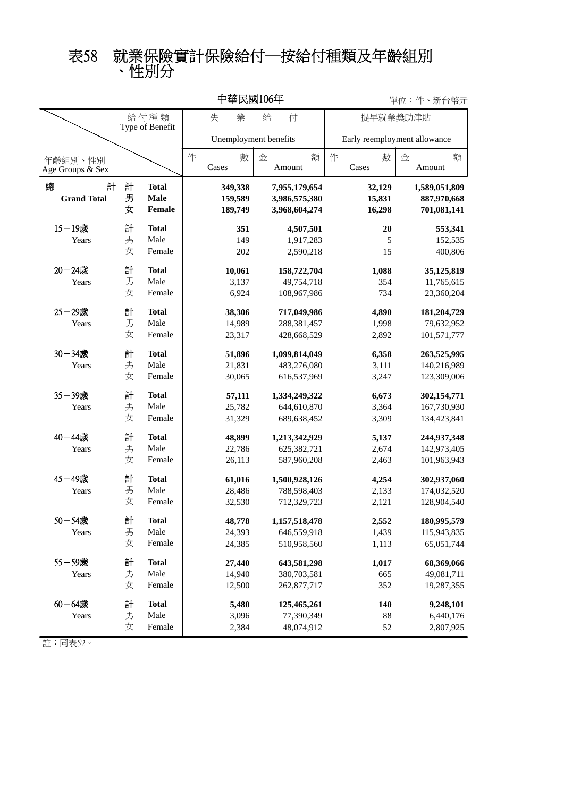## 、性別分 表58 就業保險實計保險給付─按給付種類及年齡組別

|                              |             |                                       | 中華民國106年                      |                            |                                                 | 單位:件、新台幣元 |                              |                            |                                             |                               |
|------------------------------|-------------|---------------------------------------|-------------------------------|----------------------------|-------------------------------------------------|-----------|------------------------------|----------------------------|---------------------------------------------|-------------------------------|
|                              |             | 給付種類<br>Type of Benefit               | 失                             | 業<br>給                     | 付                                               |           |                              |                            | 提早就業獎助津貼                                    |                               |
|                              |             |                                       | Unemployment benefits         |                            |                                                 |           | Early reemployment allowance |                            |                                             |                               |
| 年齡組別、性別<br>Age Groups & Sex  |             |                                       | 件<br>Cases                    | 數<br>金                     | Amount                                          | 額         | 件<br>Cases                   | 數                          | 金<br>Amount                                 | 額                             |
| 總<br>計<br><b>Grand Total</b> | 計<br>男<br>女 | <b>Total</b><br><b>Male</b><br>Female | 349,338<br>159,589<br>189,749 |                            | 7,955,179,654<br>3,986,575,380<br>3,968,604,274 |           |                              | 32,129<br>15,831<br>16,298 | 1,589,051,809<br>887,970,668<br>701,081,141 |                               |
| $15 - 19$ 歲<br>Years         | 計<br>男<br>女 | <b>Total</b><br>Male<br>Female        |                               | 351<br>149<br>202          | 4,507,501<br>1,917,283<br>2,590,218             |           |                              | 20<br>5<br>15              |                                             | 553,341<br>152,535<br>400,806 |
| $20 - 24$ 歲<br>Years         | 計<br>男<br>女 | <b>Total</b><br>Male<br>Female        |                               | 10,061<br>3,137<br>6,924   | 158,722,704<br>49,754,718<br>108,967,986        |           |                              | 1,088<br>354<br>734        | 35,125,819<br>11,765,615<br>23,360,204      |                               |
| 25-29歲<br>Years              | 計<br>男<br>女 | <b>Total</b><br>Male<br>Female        |                               | 38,306<br>14,989<br>23,317 | 717,049,986<br>288,381,457<br>428,668,529       |           |                              | 4,890<br>1,998<br>2,892    | 181,204,729<br>79,632,952<br>101,571,777    |                               |
| 30-34歲<br>Years              | 計<br>男<br>女 | <b>Total</b><br>Male<br>Female        |                               | 51,896<br>21,831<br>30,065 | 1,099,814,049<br>483,276,080<br>616,537,969     |           |                              | 6,358<br>3,111<br>3,247    | 263,525,995<br>140,216,989<br>123,309,006   |                               |
| 35-39歲<br>Years              | 計<br>男<br>女 | <b>Total</b><br>Male<br>Female        |                               | 57,111<br>25,782<br>31,329 | 1,334,249,322<br>644,610,870<br>689, 638, 452   |           |                              | 6,673<br>3,364<br>3,309    | 302,154,771<br>167,730,930<br>134,423,841   |                               |
| 40-44歲<br>Years              | 計<br>男<br>女 | <b>Total</b><br>Male<br>Female        |                               | 48,899<br>22,786<br>26,113 | 1,213,342,929<br>625,382,721<br>587,960,208     |           |                              | 5,137<br>2,674<br>2,463    | 244,937,348<br>142,973,405<br>101,963,943   |                               |
| 45-49歲<br>Years              | 計<br>男<br>女 | <b>Total</b><br>Male<br>Female        |                               | 61,016<br>28,486<br>32,530 | 1,500,928,126<br>788,598,403<br>712,329,723     |           |                              | 4,254<br>2,133<br>2,121    | 302,937,060<br>174,032,520<br>128,904,540   |                               |
| 50-54歲<br>Years              | 計<br>男<br>女 | <b>Total</b><br>Male<br>Female        |                               | 48,778<br>24,393<br>24,385 | 1,157,518,478<br>646,559,918<br>510,958,560     |           |                              | 2,552<br>1,439<br>1,113    | 180,995,579<br>115,943,835<br>65,051,744    |                               |
| 55-59歲<br>Years              | 計<br>男<br>女 | <b>Total</b><br>Male<br>Female        |                               | 27,440<br>14,940<br>12,500 | 643,581,298<br>380,703,581<br>262,877,717       |           |                              | 1,017<br>665<br>352        | 68,369,066<br>49,081,711<br>19,287,355      |                               |
| $60 - 64$ 歲<br>Years         | 計<br>男<br>女 | <b>Total</b><br>Male<br>Female        |                               | 5,480<br>3,096<br>2,384    | 125,465,261<br>77,390,349<br>48,074,912         |           |                              | 140<br>88<br>$52\,$        | 9,248,101<br>6,440,176<br>2,807,925         |                               |

同表52。 註: